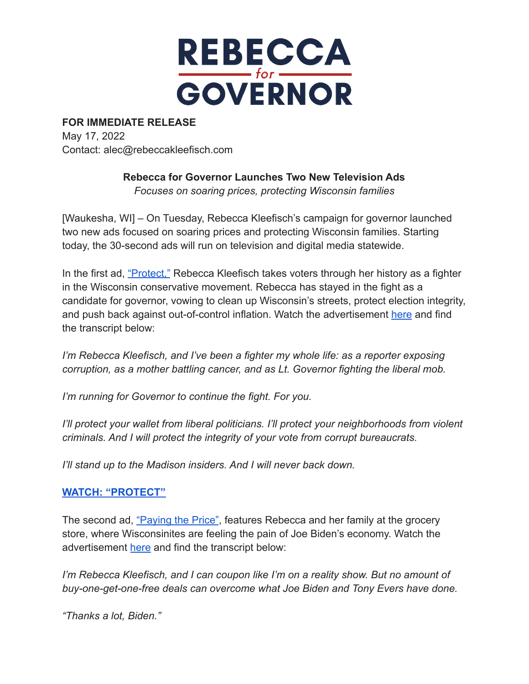

## **FOR IMMEDIATE RELEASE**

May 17, 2022 Contact: alec@rebeccakleefisch.com

## **Rebecca for Governor Launches Two New Television Ads**

*Focuses on soaring prices, protecting Wisconsin families*

[Waukesha, WI] – On Tuesday, Rebecca Kleefisch's campaign for governor launched two new ads focused on soaring prices and protecting Wisconsin families. Starting today, the 30-second ads will run on television and digital media statewide.

In the first ad, ["Protect,"](https://youtu.be/FS3g4C9QkX0) Rebecca Kleefisch takes voters through her history as a fighter in the Wisconsin conservative movement. Rebecca has stayed in the fight as a candidate for governor, vowing to clean up Wisconsin's streets, protect election integrity, and push back against out-of-control inflation. Watch the advertisement [here](https://youtu.be/FS3g4C9QkX0) and find the transcript below:

*I'm Rebecca Kleefisch, and I've been a fighter my whole life: as a reporter exposing corruption, as a mother battling cancer, and as Lt. Governor fighting the liberal mob.*

*I'm running for Governor to continue the fight. For you.*

*I'll protect your wallet from liberal politicians. I'll protect your neighborhoods from violent criminals. And I will protect the integrity of your vote from corrupt bureaucrats.*

*I'll stand up to the Madison insiders. And I will never back down.*

## **[WATCH: "PROTECT"](https://youtu.be/FS3g4C9QkX0)**

The second ad, ["Paying the Price"](https://youtu.be/wfNxMi1e_PI), features Rebecca and her family at the grocery store, where Wisconsinites are feeling the pain of Joe Biden's economy. Watch the advertisement [here](https://youtu.be/wfNxMi1e_PI) and find the transcript below:

*I'm Rebecca Kleefisch, and I can coupon like I'm on a reality show. But no amount of buy-one-get-one-free deals can overcome what Joe Biden and Tony Evers have done.*

*"Thanks a lot, Biden."*